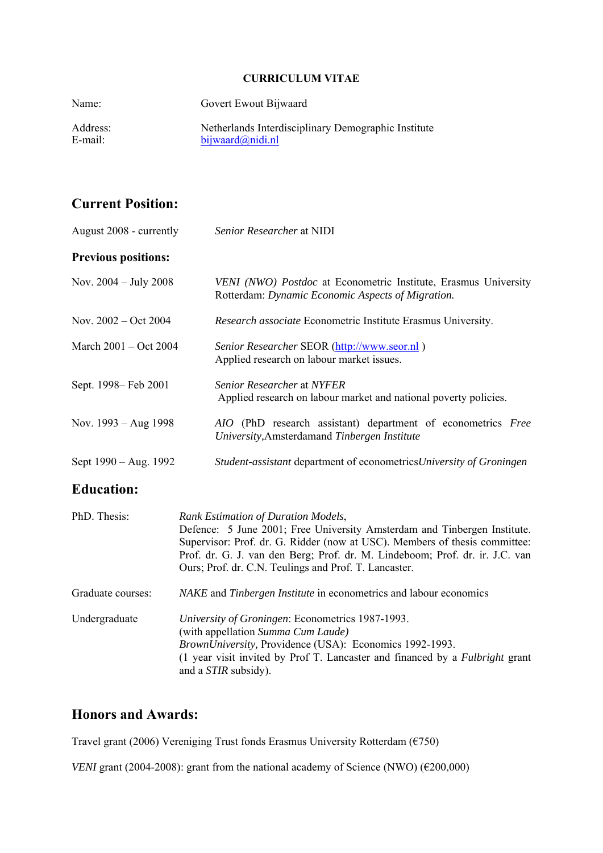### **CURRICULUM VITAE**

| Name:    | Govert Ewout Bijwaard                               |
|----------|-----------------------------------------------------|
| Address: | Netherlands Interdisciplinary Demographic Institute |
| E-mail:  | bijwaard $(a)$ nidi.nl                              |

# **Current Position:**

| August 2008 - currently         | Senior Researcher at NIDI                                                                                            |
|---------------------------------|----------------------------------------------------------------------------------------------------------------------|
| <b>Previous positions:</b>      |                                                                                                                      |
| Nov. $2004 - \text{July } 2008$ | VENI (NWO) Postdoc at Econometric Institute, Erasmus University<br>Rotterdam: Dynamic Economic Aspects of Migration. |
| Nov. $2002 - Oct 2004$          | <i>Research associate</i> Econometric Institute Erasmus University.                                                  |
| March $2001 - Oct$ $2004$       | Senior Researcher SEOR (http://www.seor.nl)<br>Applied research on labour market issues.                             |
| Sept. 1998– Feb 2001            | <b>Senior Researcher at NYFER</b><br>Applied research on labour market and national poverty policies.                |
| Nov. $1993 - Aug\ 1998$         | AIO (PhD research assistant) department of econometrics Free<br>University, Amsterdamand Tinbergen Institute         |
| Sept $1990 - Aug. 1992$         | Student-assistant department of econometricsUniversity of Groningen                                                  |

# **Education:**

| PhD. Thesis:      | Rank Estimation of Duration Models,<br>Defence: 5 June 2001; Free University Amsterdam and Tinbergen Institute.<br>Supervisor: Prof. dr. G. Ridder (now at USC). Members of thesis committee:<br>Prof. dr. G. J. van den Berg; Prof. dr. M. Lindeboom; Prof. dr. ir. J.C. van<br>Ours; Prof. dr. C.N. Teulings and Prof. T. Lancaster. |
|-------------------|----------------------------------------------------------------------------------------------------------------------------------------------------------------------------------------------------------------------------------------------------------------------------------------------------------------------------------------|
| Graduate courses: | NAKE and Tinbergen Institute in econometrics and labour economics                                                                                                                                                                                                                                                                      |
| Undergraduate     | University of Groningen: Econometrics 1987-1993.<br>(with appellation Summa Cum Laude)<br>BrownUniversity, Providence (USA): Economics 1992-1993.<br>(1 year visit invited by Prof T. Lancaster and financed by a <i>Fulbright</i> grant<br>and a STIR subsidy).                                                                       |

# **Honors and Awards:**

Travel grant (2006) Vereniging Trust fonds Erasmus University Rotterdam (€750)

*VENI* grant (2004-2008): grant from the national academy of Science (NWO) ( $\epsilon$ 200,000)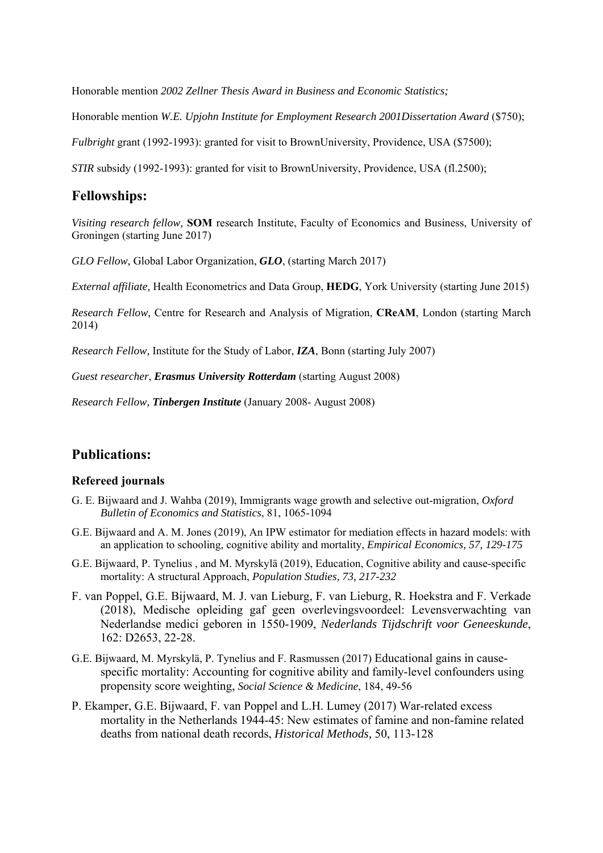Honorable mention *2002 Zellner Thesis Award in Business and Economic Statistics;*

Honorable mention *W.E. Upjohn Institute for Employment Research 2001Dissertation Award* (\$750);

*Fulbright grant* (1992-1993): granted for visit to BrownUniversity, Providence, USA (\$7500);

*STIR* subsidy (1992-1993): granted for visit to BrownUniversity, Providence, USA (fl.2500);

### **Fellowships:**

*Visiting research fellow,* **SOM** research Institute, Faculty of Economics and Business, University of Groningen (starting June 2017)

*GLO Fellow,* Global Labor Organization, *GLO*, (starting March 2017)

*External affiliate,* Health Econometrics and Data Group, **HEDG**, York University (starting June 2015)

*Research Fellow,* Centre for Research and Analysis of Migration, **CReAM**, London (starting March 2014)

*Research Fellow,* Institute for the Study of Labor, *IZA*, Bonn (starting July 2007)

*Guest researcher*, *Erasmus University Rotterdam* (starting August 2008)

*Research Fellow, Tinbergen Institute* (January 2008- August 2008)

### **Publications:**

#### **Refereed journals**

- G. E. Bijwaard and J. Wahba (2019), Immigrants wage growth and selective out-migration, *Oxford Bulletin of Economics and Statistics*, 81, 1065-1094
- G.E. Bijwaard and A. M. Jones (2019), An IPW estimator for mediation effects in hazard models: with an application to schooling, cognitive ability and mortality, *Empirical Economics, 57, 129-175*
- G.E. Bijwaard, P. Tynelius , and M. Myrskylä (2019), Education, Cognitive ability and cause-specific mortality: A structural Approach, *Population Studies, 73, 217-232*
- F. van Poppel, G.E. Bijwaard, M. J. van Lieburg, F. van Lieburg, R. Hoekstra and F. Verkade (2018), Medische opleiding gaf geen overlevingsvoordeel: Levensverwachting van Nederlandse medici geboren in 1550-1909, *Nederlands Tijdschrift voor Geneeskunde*, 162: D2653, 22-28.
- G.E. Bijwaard, M. Myrskylä, P. Tynelius and F. Rasmussen (2017) Educational gains in causespecific mortality: Accounting for cognitive ability and family-level confounders using propensity score weighting, *Social Science & Medicine*, 184, 49-56
- P. Ekamper, G.E. Bijwaard, F. van Poppel and L.H. Lumey (2017) War-related excess mortality in the Netherlands 1944-45: New estimates of famine and non-famine related deaths from national death records, *Historical Methods,* 50, 113-128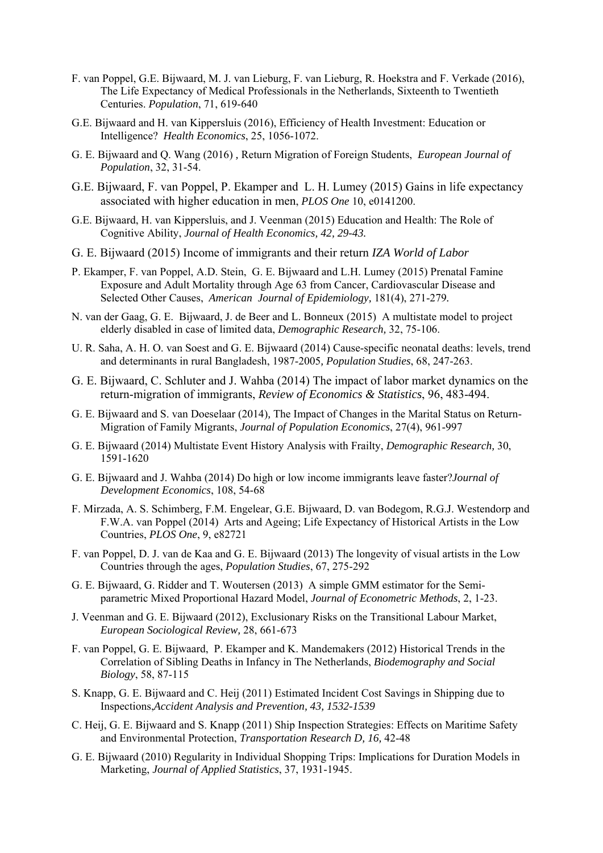- F. van Poppel, G.E. Bijwaard, M. J. van Lieburg, F. van Lieburg, R. Hoekstra and F. Verkade (2016), The Life Expectancy of Medical Professionals in the Netherlands, Sixteenth to Twentieth Centuries. *Population*, 71, 619-640
- G.E. Bijwaard and H. van Kippersluis (2016), Efficiency of Health Investment: Education or Intelligence? *Health Economics*, 25, 1056-1072.
- G. E. Bijwaard and Q. Wang (2016) *,* Return Migration of Foreign Students, *European Journal of Population*, 32, 31-54.
- G.E. Bijwaard, F. van Poppel, P. Ekamper and L. H. Lumey (2015) Gains in life expectancy associated with higher education in men, *PLOS One* 10, e0141200.
- G.E. Bijwaard, H. van Kippersluis, and J. Veenman (2015) Education and Health: The Role of Cognitive Ability, *Journal of Health Economics, 42, 29-43.*
- G. E. Bijwaard (2015) Income of immigrants and their return *IZA World of Labor*
- P. Ekamper, F. van Poppel, A.D. Stein, G. E. Bijwaard and L.H. Lumey (2015) Prenatal Famine Exposure and Adult Mortality through Age 63 from Cancer, Cardiovascular Disease and Selected Other Causes, *American Journal of Epidemiology,* 181(4), 271-279*.*
- N. van der Gaag, G. E. Bijwaard, J. de Beer and L. Bonneux (2015) A multistate model to project elderly disabled in case of limited data, *Demographic Research,* 32, 75-106.
- U. R. Saha, A. H. O. van Soest and G. E. Bijwaard (2014) Cause-specific neonatal deaths: levels, trend and determinants in rural Bangladesh, 1987-2005*, Population Studies*, 68, 247-263.
- G. E. Bijwaard, C. Schluter and J. Wahba (2014) The impact of labor market dynamics on the return-migration of immigrants, *Review of Economics & Statistics*, 96, 483-494.
- G. E. Bijwaard and S. van Doeselaar (2014)*,* The Impact of Changes in the Marital Status on Return-Migration of Family Migrants, *Journal of Population Economics*, 27(4), 961-997
- G. E. Bijwaard (2014) Multistate Event History Analysis with Frailty, *Demographic Research,* 30, 1591-1620
- G. E. Bijwaard and J. Wahba (2014) Do high or low income immigrants leave faster?*Journal of Development Economics*, 108, 54-68
- F. Mirzada, A. S. Schimberg, F.M. Engelear, G.E. Bijwaard, D. van Bodegom, R.G.J. Westendorp and F.W.A. van Poppel (2014) Arts and Ageing; Life Expectancy of Historical Artists in the Low Countries, *PLOS One*, 9, e82721
- F. van Poppel, D. J. van de Kaa and G. E. Bijwaard (2013) The longevity of visual artists in the Low Countries through the ages, *Population Studies*, 67, 275-292
- G. E. Bijwaard, G. Ridder and T. Woutersen (2013) A simple GMM estimator for the Semiparametric Mixed Proportional Hazard Model, *Journal of Econometric Methods*, 2, 1-23.
- J. Veenman and G. E. Bijwaard (2012), Exclusionary Risks on the Transitional Labour Market, *European Sociological Review,* 28, 661-673
- F. van Poppel, G. E. Bijwaard, P. Ekamper and K. Mandemakers (2012) Historical Trends in the Correlation of Sibling Deaths in Infancy in The Netherlands, *Biodemography and Social Biology*, 58, 87-115
- S. Knapp, G. E. Bijwaard and C. Heij (2011) Estimated Incident Cost Savings in Shipping due to Inspections,*Accident Analysis and Prevention, 43, 1532-1539*
- C. Heij, G. E. Bijwaard and S. Knapp (2011) Ship Inspection Strategies: Effects on Maritime Safety and Environmental Protection, *Transportation Research D, 16,* 42-48
- G. E. Bijwaard (2010) Regularity in Individual Shopping Trips: Implications for Duration Models in Marketing, *Journal of Applied Statistics*, 37, 1931-1945.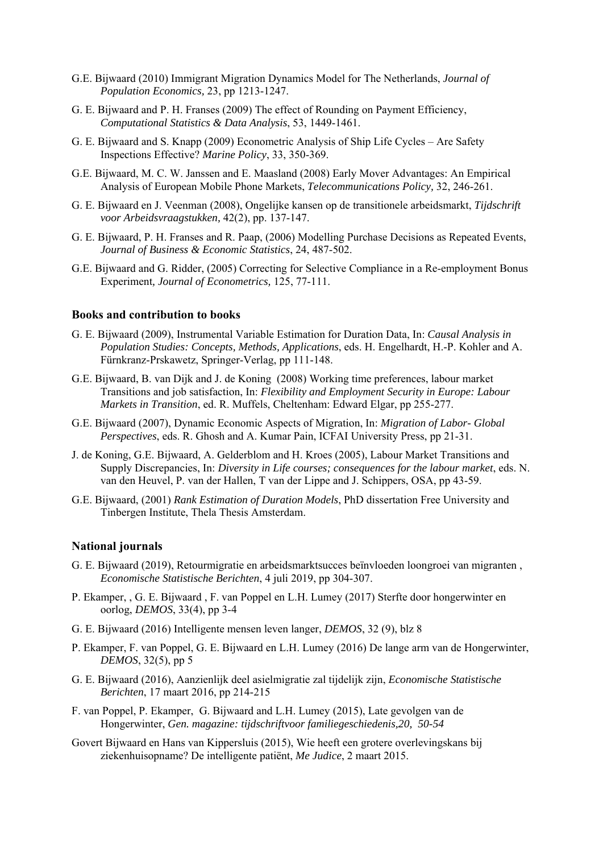- G.E. Bijwaard (2010) Immigrant Migration Dynamics Model for The Netherlands, *Journal of Population Economics,* 23, pp 1213-1247.
- G. E. Bijwaard and P. H. Franses (2009) The effect of Rounding on Payment Efficiency, *Computational Statistics & Data Analysis*, 53, 1449-1461.
- G. E. Bijwaard and S. Knapp (2009) Econometric Analysis of Ship Life Cycles Are Safety Inspections Effective? *Marine Policy*, 33, 350-369.
- G.E. Bijwaard, M. C. W. Janssen and E. Maasland (2008) Early Mover Advantages: An Empirical Analysis of European Mobile Phone Markets, *Telecommunications Policy,* 32, 246-261.
- G. E. Bijwaard en J. Veenman (2008), Ongelijke kansen op de transitionele arbeidsmarkt, *Tijdschrift voor Arbeidsvraagstukken,* 42(2), pp. 137-147.
- G. E. Bijwaard, P. H. Franses and R. Paap, (2006) Modelling Purchase Decisions as Repeated Events, *Journal of Business & Economic Statistics*, 24, 487-502.
- G.E. Bijwaard and G. Ridder, (2005) Correcting for Selective Compliance in a Re-employment Bonus Experiment*, Journal of Econometrics,* 125, 77-111.

#### **Books and contribution to books**

- G. E. Bijwaard (2009), Instrumental Variable Estimation for Duration Data, In: *Causal Analysis in Population Studies: Concepts, Methods, Applications*, eds. H. Engelhardt, H.-P. Kohler and A. Fürnkranz-Prskawetz, Springer-Verlag, pp 111-148.
- G.E. Bijwaard, B. van Dijk and J. de Koning (2008) Working time preferences, labour market Transitions and job satisfaction, In: *Flexibility and Employment Security in Europe: Labour Markets in Transition*, ed. R. Muffels, Cheltenham: Edward Elgar, pp 255-277.
- G.E. Bijwaard (2007), Dynamic Economic Aspects of Migration, In: *Migration of Labor- Global Perspectives*, eds. R. Ghosh and A. Kumar Pain, ICFAI University Press, pp 21-31.
- J. de Koning, G.E. Bijwaard, A. Gelderblom and H. Kroes (2005), Labour Market Transitions and Supply Discrepancies, In: *Diversity in Life courses; consequences for the labour market*, eds. N. van den Heuvel, P. van der Hallen, T van der Lippe and J. Schippers, OSA, pp 43-59.
- G.E. Bijwaard, (2001) *Rank Estimation of Duration Models*, PhD dissertation Free University and Tinbergen Institute, Thela Thesis Amsterdam.

#### **National journals**

- G. E. Bijwaard (2019), Retourmigratie en arbeidsmarktsucces beïnvloeden loongroei van migranten , *Economische Statistische Berichten*, 4 juli 2019, pp 304-307.
- P. Ekamper, , G. E. Bijwaard , F. van Poppel en L.H. Lumey (2017) Sterfte door hongerwinter en oorlog, *DEMOS*, 33(4), pp 3-4
- G. E. Bijwaard (2016) Intelligente mensen leven langer, *DEMOS*, 32 (9), blz 8
- P. Ekamper, F. van Poppel, G. E. Bijwaard en L.H. Lumey (2016) De lange arm van de Hongerwinter, *DEMOS*, 32(5), pp 5
- G. E. Bijwaard (2016), Aanzienlijk deel asielmigratie zal tijdelijk zijn, *Economische Statistische Berichten*, 17 maart 2016, pp 214-215
- F. van Poppel, P. Ekamper, G. Bijwaard and L.H. Lumey (2015), Late gevolgen van de Hongerwinter, *Gen. magazine: tijdschriftvoor familiegeschiedenis,20, 50-54*
- Govert Bijwaard en Hans van Kippersluis (2015), Wie heeft een grotere overlevingskans bij ziekenhuisopname? De intelligente patiënt, *Me Judice*, 2 maart 2015.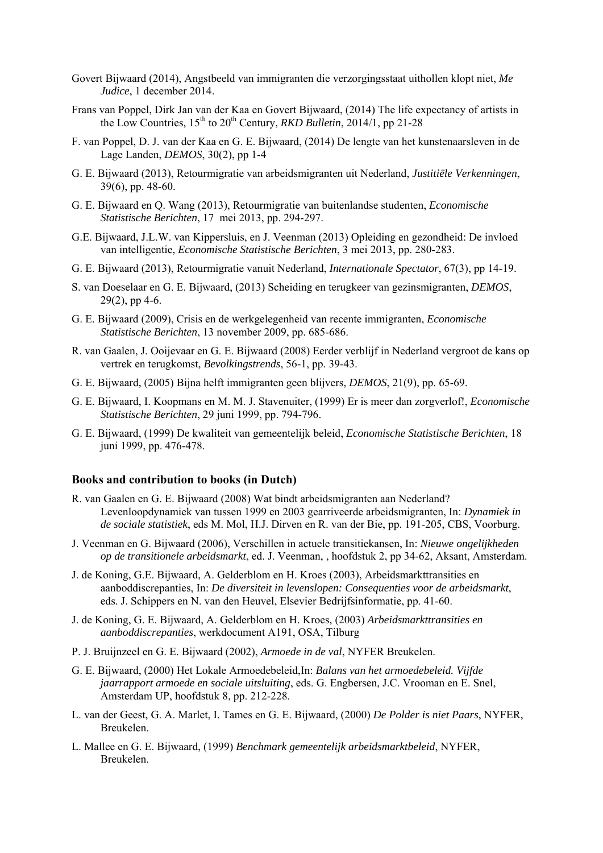- Govert Bijwaard (2014), Angstbeeld van immigranten die verzorgingsstaat uithollen klopt niet, *Me Judice*, 1 december 2014.
- Frans van Poppel, Dirk Jan van der Kaa en Govert Bijwaard, (2014) The life expectancy of artists in the Low Countries,  $15^{th}$  to  $20^{th}$  Century, *RKD Bulletin*, 2014/1, pp 21-28
- F. van Poppel, D. J. van der Kaa en G. E. Bijwaard, (2014) De lengte van het kunstenaarsleven in de Lage Landen, *DEMOS*, 30(2), pp 1-4
- G. E. Bijwaard (2013), Retourmigratie van arbeidsmigranten uit Nederland, *Justitiële Verkenningen*, 39(6), pp. 48-60.
- G. E. Bijwaard en Q. Wang (2013), Retourmigratie van buitenlandse studenten, *Economische Statistische Berichten*, 17 mei 2013, pp. 294-297.
- G.E. Bijwaard, J.L.W. van Kippersluis, en J. Veenman (2013) Opleiding en gezondheid: De invloed van intelligentie, *Economische Statistische Berichten*, 3 mei 2013, pp. 280-283.
- G. E. Bijwaard (2013), Retourmigratie vanuit Nederland, *Internationale Spectator*, 67(3), pp 14-19.
- S. van Doeselaar en G. E. Bijwaard, (2013) Scheiding en terugkeer van gezinsmigranten, *DEMOS*, 29(2), pp 4-6.
- G. E. Bijwaard (2009), Crisis en de werkgelegenheid van recente immigranten, *Economische Statistische Berichten*, 13 november 2009, pp. 685-686.
- R. van Gaalen, J. Ooijevaar en G. E. Bijwaard (2008) Eerder verblijf in Nederland vergroot de kans op vertrek en terugkomst, *Bevolkingstrends*, 56-1, pp. 39-43.
- G. E. Bijwaard, (2005) Bijna helft immigranten geen blijvers, *DEMOS*, 21(9), pp. 65-69.
- G. E. Bijwaard, I. Koopmans en M. M. J. Stavenuiter, (1999) Er is meer dan zorgverlof!, *Economische Statistische Berichten*, 29 juni 1999, pp. 794-796.
- G. E. Bijwaard, (1999) De kwaliteit van gemeentelijk beleid, *Economische Statistische Berichten*, 18 juni 1999, pp. 476-478.

#### **Books and contribution to books (in Dutch)**

- R. van Gaalen en G. E. Bijwaard (2008) Wat bindt arbeidsmigranten aan Nederland? Levenloopdynamiek van tussen 1999 en 2003 gearriveerde arbeidsmigranten, In: *Dynamiek in de sociale statistiek*, eds M. Mol, H.J. Dirven en R. van der Bie, pp. 191-205, CBS, Voorburg.
- J. Veenman en G. Bijwaard (2006), Verschillen in actuele transitiekansen, In: *Nieuwe ongelijkheden op de transitionele arbeidsmarkt*, ed. J. Veenman, , hoofdstuk 2, pp 34-62, Aksant, Amsterdam.
- J. de Koning, G.E. Bijwaard, A. Gelderblom en H. Kroes (2003), Arbeidsmarkttransities en aanboddiscrepanties, In: *De diversiteit in levenslopen: Consequenties voor de arbeidsmarkt*, eds. J. Schippers en N. van den Heuvel, Elsevier Bedrijfsinformatie, pp. 41-60.
- J. de Koning, G. E. Bijwaard, A. Gelderblom en H. Kroes, (2003) *Arbeidsmarkttransities en aanboddiscrepanties*, werkdocument A191, OSA, Tilburg
- P. J. Bruijnzeel en G. E. Bijwaard (2002), *Armoede in de val*, NYFER Breukelen.
- G. E. Bijwaard, (2000) Het Lokale Armoedebeleid,In: *Balans van het armoedebeleid. Vijfde jaarrapport armoede en sociale uitsluiting*, eds. G. Engbersen, J.C. Vrooman en E. Snel, Amsterdam UP, hoofdstuk 8, pp. 212-228.
- L. van der Geest, G. A. Marlet, I. Tames en G. E. Bijwaard, (2000) *De Polder is niet Paars*, NYFER, Breukelen.
- L. Mallee en G. E. Bijwaard, (1999) *Benchmark gemeentelijk arbeidsmarktbeleid*, NYFER, Breukelen.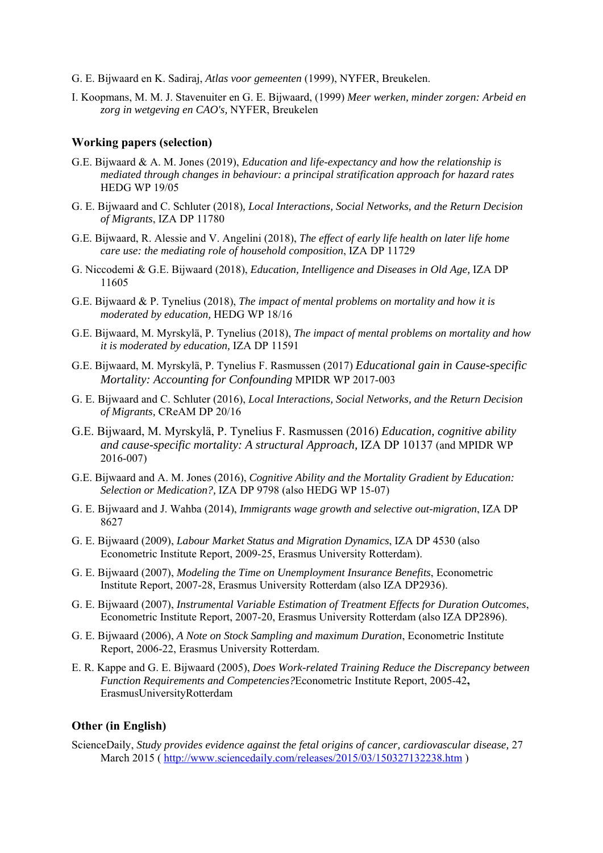- G. E. Bijwaard en K. Sadiraj, *Atlas voor gemeenten* (1999), NYFER, Breukelen.
- I. Koopmans, M. M. J. Stavenuiter en G. E. Bijwaard, (1999) *Meer werken, minder zorgen: Arbeid en zorg in wetgeving en CAO's,* NYFER, Breukelen

#### **Working papers (selection)**

- G.E. Bijwaard & A. M. Jones (2019), *Education and life-expectancy and how the relationship is mediated through changes in behaviour: a principal stratification approach for hazard rates* HEDG WP 19/05
- G. E. Bijwaard and C. Schluter (2018)*, Local Interactions, Social Networks, and the Return Decision of Migrants*, IZA DP 11780
- G.E. Bijwaard, R. Alessie and V. Angelini (2018), *The effect of early life health on later life home care use: the mediating role of household composition*, IZA DP 11729
- G. Niccodemi & G.E. Bijwaard (2018), *Education, Intelligence and Diseases in Old Age,* IZA DP 11605
- G.E. Bijwaard & P. Tynelius (2018), *The impact of mental problems on mortality and how it is moderated by education,* HEDG WP 18/16
- G.E. Bijwaard, M. Myrskylä, P. Tynelius (2018), *The impact of mental problems on mortality and how it is moderated by education,* IZA DP 11591
- G.E. Bijwaard, M. Myrskylä, P. Tynelius F. Rasmussen (2017) *Educational gain in Cause-specific Mortality: Accounting for Confounding* MPIDR WP 2017-003
- G. E. Bijwaard and C. Schluter (2016), *Local Interactions, Social Networks, and the Return Decision of Migrants,* CReAM DP 20/16
- G.E. Bijwaard, M. Myrskylä, P. Tynelius F. Rasmussen (2016) *Education, cognitive ability and cause-specific mortality: A structural Approach,* IZA DP 10137 (and MPIDR WP 2016-007)
- G.E. Bijwaard and A. M. Jones (2016), *Cognitive Ability and the Mortality Gradient by Education: Selection or Medication?,* IZA DP 9798 (also HEDG WP 15-07)
- G. E. Bijwaard and J. Wahba (2014), *Immigrants wage growth and selective out-migration*, IZA DP 8627
- G. E. Bijwaard (2009), *Labour Market Status and Migration Dynamics*, IZA DP 4530 (also Econometric Institute Report, 2009-25, Erasmus University Rotterdam).
- G. E. Bijwaard (2007), *Modeling the Time on Unemployment Insurance Benefits*, Econometric Institute Report, 2007-28, Erasmus University Rotterdam (also IZA DP2936).
- G. E. Bijwaard (2007), *Instrumental Variable Estimation of Treatment Effects for Duration Outcomes*, Econometric Institute Report, 2007-20, Erasmus University Rotterdam (also IZA DP2896).
- G. E. Bijwaard (2006), *A Note on Stock Sampling and maximum Duration*, Econometric Institute Report, 2006-22, Erasmus University Rotterdam.
- E. R. Kappe and G. E. Bijwaard (2005), *Does Work-related Training Reduce the Discrepancy between Function Requirements and Competencies?*Econometric Institute Report, 2005-42**,**  ErasmusUniversityRotterdam

#### **Other (in English)**

ScienceDaily, *Study provides evidence against the fetal origins of cancer, cardiovascular disease,* 27 March 2015 ( http://www.sciencedaily.com/releases/2015/03/150327132238.htm )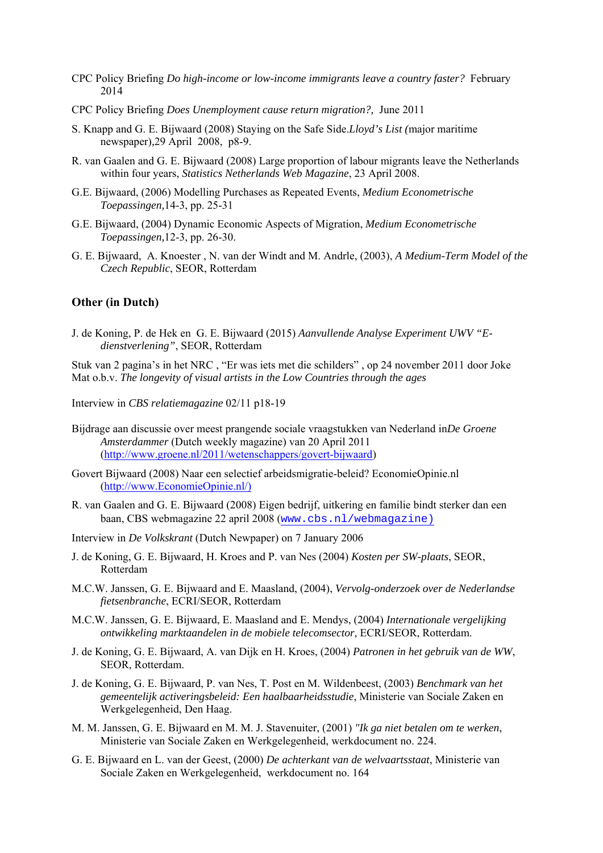- CPC Policy Briefing *Do high-income or low-income immigrants leave a country faster?* February 2014
- CPC Policy Briefing *Does Unemployment cause return migration?,* June 2011
- S. Knapp and G. E. Bijwaard (2008) Staying on the Safe Side.*Lloyd's List (*major maritime newspaper)*,*29 April 2008, p8-9.
- R. van Gaalen and G. E. Bijwaard (2008) Large proportion of labour migrants leave the Netherlands within four years, *Statistics Netherlands Web Magazine*, 23 April 2008.
- G.E. Bijwaard, (2006) Modelling Purchases as Repeated Events, *Medium Econometrische Toepassingen,*14-3, pp. 25-31
- G.E. Bijwaard, (2004) Dynamic Economic Aspects of Migration, *Medium Econometrische Toepassingen,*12-3, pp. 26-30.
- G. E. Bijwaard, A. Knoester , N. van der Windt and M. Andrle, (2003), *A Medium-Term Model of the Czech Republic*, SEOR, Rotterdam

#### **Other (in Dutch)**

J. de Koning, P. de Hek en G. E. Bijwaard (2015) *Aanvullende Analyse Experiment UWV "Edienstverlening"*, SEOR, Rotterdam

Stuk van 2 pagina's in het NRC , "Er was iets met die schilders" , op 24 november 2011 door Joke Mat o.b.v. *The longevity of visual artists in the Low Countries through the ages*

- Interview in *CBS relatiemagazine* 02/11 p18-19
- Bijdrage aan discussie over meest prangende sociale vraagstukken van Nederland in*De Groene Amsterdammer* (Dutch weekly magazine) van 20 April 2011 (http://www.groene.nl/2011/wetenschappers/govert-bijwaard)
- Govert Bijwaard (2008) Naar een selectief arbeidsmigratie-beleid? EconomieOpinie.nl (http://www.EconomieOpinie.nl/)
- R. van Gaalen and G. E. Bijwaard (2008) Eigen bedrijf, uitkering en familie bindt sterker dan een baan, CBS webmagazine 22 april 2008 (www.cbs.nl/webmagazine)
- Interview in *De Volkskrant* (Dutch Newpaper) on 7 January 2006
- J. de Koning, G. E. Bijwaard, H. Kroes and P. van Nes (2004) *Kosten per SW-plaats*, SEOR, Rotterdam
- M.C.W. Janssen, G. E. Bijwaard and E. Maasland, (2004), *Vervolg-onderzoek over de Nederlandse fietsenbranche*, ECRI/SEOR, Rotterdam
- M.C.W. Janssen, G. E. Bijwaard, E. Maasland and E. Mendys, (2004) *Internationale vergelijking ontwikkeling marktaandelen in de mobiele telecomsector*, ECRI/SEOR, Rotterdam.
- J. de Koning, G. E. Bijwaard, A. van Dijk en H. Kroes, (2004) *Patronen in het gebruik van de WW*, SEOR, Rotterdam.
- J. de Koning, G. E. Bijwaard, P. van Nes, T. Post en M. Wildenbeest, (2003) *Benchmark van het gemeentelijk activeringsbeleid: Een haalbaarheidsstudie*, Ministerie van Sociale Zaken en Werkgelegenheid, Den Haag.
- M. M. Janssen, G. E. Bijwaard en M. M. J. Stavenuiter, (2001) *"Ik ga niet betalen om te werken*, Ministerie van Sociale Zaken en Werkgelegenheid, werkdocument no. 224.
- G. E. Bijwaard en L. van der Geest, (2000) *De achterkant van de welvaartsstaat*, Ministerie van Sociale Zaken en Werkgelegenheid, werkdocument no. 164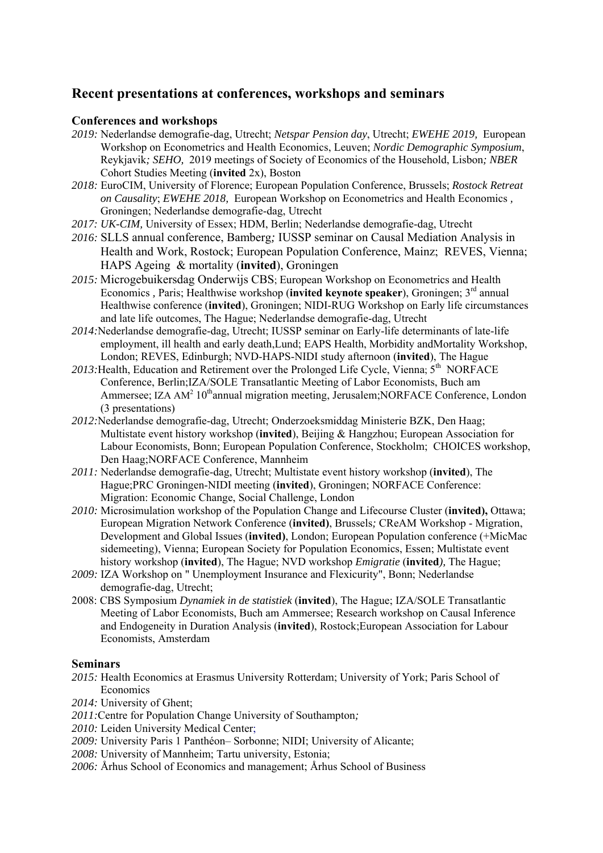## **Recent presentations at conferences, workshops and seminars**

### **Conferences and workshops**

- *2019:* Nederlandse demografie-dag, Utrecht; *Netspar Pension day*, Utrecht; *EWEHE 2019,* European Workshop on Econometrics and Health Economics, Leuven; *Nordic Demographic Symposium*, Reykjavik*; SEHO,* 2019 meetings of Society of Economics of the Household, Lisbon*; NBER*  Cohort Studies Meeting (**invited** 2x), Boston
- *2018:* EuroCIM, University of Florence; European Population Conference, Brussels; *Rostock Retreat on Causality*; *EWEHE 2018,* European Workshop on Econometrics and Health Economics *,*  Groningen; Nederlandse demografie-dag, Utrecht
- *2017: UK-CIM,* University of Essex; HDM, Berlin; Nederlandse demografie-dag, Utrecht
- *2016:* SLLS annual conference, Bamberg*;* IUSSP seminar on Causal Mediation Analysis in Health and Work, Rostock; European Population Conference, Mainz; REVES, Vienna; HAPS Ageing & mortality (**invited**), Groningen
- *2015:* Microgebuikersdag Onderwijs CBS; European Workshop on Econometrics and Health Economics *,* Paris; Healthwise workshop (**invited keynote speaker**), Groningen; 3rd annual Healthwise conference (**invited**), Groningen; NIDI-RUG Workshop on Early life circumstances and late life outcomes, The Hague; Nederlandse demografie-dag, Utrecht
- *2014:*Nederlandse demografie-dag, Utrecht; IUSSP seminar on Early-life determinants of late-life employment, ill health and early death,Lund; EAPS Health, Morbidity andMortality Workshop, London; REVES, Edinburgh; NVD-HAPS-NIDI study afternoon (**invited**), The Hague
- 2013: Health, Education and Retirement over the Prolonged Life Cycle, Vienna: 5<sup>th</sup> NORFACE Conference, Berlin;IZA/SOLE Transatlantic Meeting of Labor Economists, Buch am Ammersee; IZA  $AM^2 10<sup>th</sup>$ annual migration meeting, Jerusalem; NORFACE Conference, London (3 presentations)
- *2012:*Nederlandse demografie-dag, Utrecht; Onderzoeksmiddag Ministerie BZK, Den Haag; Multistate event history workshop (**invited**), Beijing & Hangzhou; European Association for Labour Economists, Bonn; European Population Conference, Stockholm; CHOICES workshop, Den Haag;NORFACE Conference, Mannheim
- *2011:* Nederlandse demografie-dag, Utrecht; Multistate event history workshop (**invited**), The Hague;PRC Groningen-NIDI meeting (**invited**), Groningen; NORFACE Conference: Migration: Economic Change, Social Challenge, London
- *2010:* Microsimulation workshop of the Population Change and Lifecourse Cluster (**invited),** Ottawa; European Migration Network Conference (**invited)**, Brussels*;* CReAM Workshop - Migration, Development and Global Issues (**invited)**, London; European Population conference (+MicMac sidemeeting), Vienna; European Society for Population Economics, Essen; Multistate event history workshop (**invited**), The Hague; NVD workshop *Emigratie* (**invited***),* The Hague;
- *2009:* IZA Workshop on " Unemployment Insurance and Flexicurity", Bonn; Nederlandse demografie-dag, Utrecht;
- 2008: CBS Symposium *Dynamiek in de statistiek* (**invited**), The Hague; IZA/SOLE Transatlantic Meeting of Labor Economists, Buch am Ammersee; Research workshop on Causal Inference and Endogeneity in Duration Analysis (**invited**), Rostock;European Association for Labour Economists, Amsterdam

#### **Seminars**

- *2015:* Health Economics at Erasmus University Rotterdam; University of York; Paris School of Economics
- *2014:* University of Ghent;

*2011:*Centre for Population Change University of Southampton*;*

- *2010:* Leiden University Medical Center;
- *2009:* University Paris 1 Panthéon– Sorbonne; NIDI; University of Alicante;
- *2008:* University of Mannheim; Tartu university, Estonia;
- *2006:* Århus School of Economics and management; Århus School of Business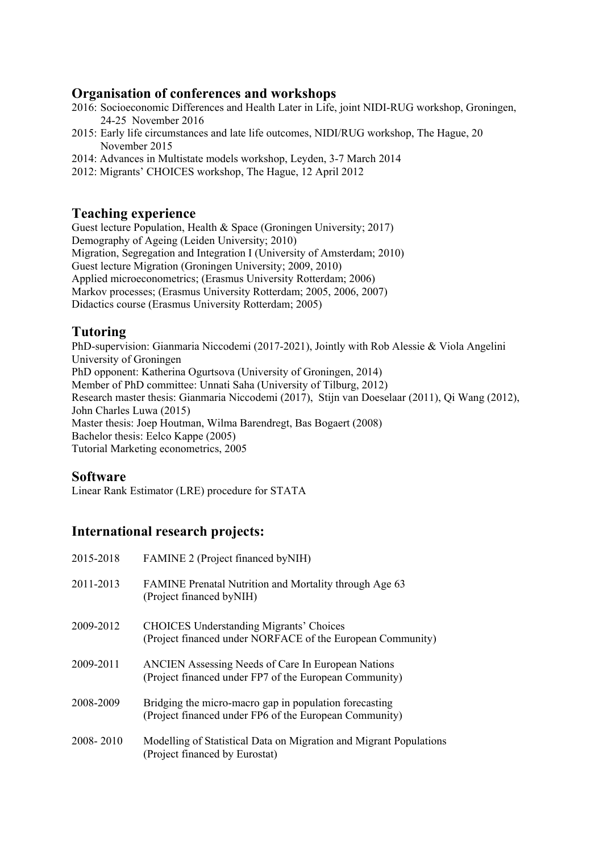## **Organisation of conferences and workshops**

- 2016: Socioeconomic Differences and Health Later in Life, joint NIDI-RUG workshop, Groningen, 24-25 November 2016
- 2015: Early life circumstances and late life outcomes, NIDI/RUG workshop, The Hague, 20 November 2015
- 2014: Advances in Multistate models workshop, Leyden, 3-7 March 2014
- 2012: Migrants' CHOICES workshop, The Hague, 12 April 2012

## **Teaching experience**

Guest lecture Population, Health & Space (Groningen University; 2017) Demography of Ageing (Leiden University; 2010) Migration, Segregation and Integration I (University of Amsterdam; 2010) Guest lecture Migration (Groningen University; 2009, 2010) Applied microeconometrics; (Erasmus University Rotterdam; 2006) Markov processes; (Erasmus University Rotterdam; 2005, 2006, 2007) Didactics course (Erasmus University Rotterdam; 2005)

# **Tutoring**

PhD-supervision: Gianmaria Niccodemi (2017-2021), Jointly with Rob Alessie & Viola Angelini University of Groningen PhD opponent: Katherina Ogurtsova (University of Groningen, 2014) Member of PhD committee: Unnati Saha (University of Tilburg, 2012) Research master thesis: Gianmaria Niccodemi (2017), Stijn van Doeselaar (2011), Qi Wang (2012), John Charles Luwa (2015) Master thesis: Joep Houtman, Wilma Barendregt, Bas Bogaert (2008) Bachelor thesis: Eelco Kappe (2005) Tutorial Marketing econometrics, 2005

## **Software**

Linear Rank Estimator (LRE) procedure for STATA

# **International research projects:**

| 2015-2018 | FAMINE 2 (Project financed by NIH)                                                                                  |
|-----------|---------------------------------------------------------------------------------------------------------------------|
| 2011-2013 | FAMINE Prenatal Nutrition and Mortality through Age 63<br>(Project financed by NIH)                                 |
| 2009-2012 | <b>CHOICES Understanding Migrants' Choices</b><br>(Project financed under NORFACE of the European Community)        |
| 2009-2011 | <b>ANCIEN</b> Assessing Needs of Care In European Nations<br>(Project financed under FP7 of the European Community) |
| 2008-2009 | Bridging the micro-macro gap in population forecasting<br>(Project financed under FP6 of the European Community)    |
| 2008-2010 | Modelling of Statistical Data on Migration and Migrant Populations<br>(Project financed by Eurostat)                |